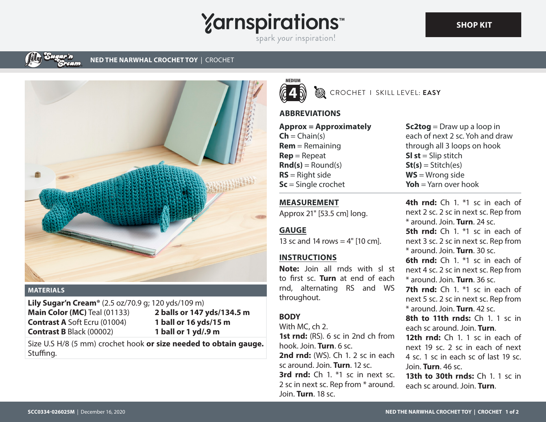**Yarnspirations** spark your inspiration!

#### **NED THE NARWHAL CROCHET TOY** | CROCHET



#### **MATERIALS**

**Lily Sugar'n Cream®** (2.5 oz/70.9 g; 120 yds/109 m) **Main Color (MC)** Teal (01133) **Contrast A** Soft Ecru (01004) **Contrast B** Black (00002)

**2 balls or 147 yds/134.5 m 1 ball or 16 yds/15 m 1 ball or 1 yd/.9 m**

Size U.S H/8 (5 mm) crochet hook **or size needed to obtain gauge.** Stuffing.



CROCHET I SKILL LEVEL: **EASY**

# **ABBREVIATIONS**

**Approx = Approximately**  $Ch = Chain(s)$ **Rem** = Remaining **Rep** = Repeat  $\text{Rnd}(s) = \text{Round}(s)$ **RS** = Right side **Sc** = Single crochet

**Sc2tog** = Draw up a loop in each of next 2 sc. Yoh and draw through all 3 loops on hook **Sl st** = Slip stitch  $St(s) = Stitch(es)$ **WS** = Wrong side **Yoh** = Yarn over hook

## **MEASUREMENT**

Approx 21" [53.5 cm] long.

## **GAUGE**

13 sc and 14 rows  $=$  4" [10 cm].

### **INSTRUCTIONS**

**Note:** Join all rnds with sl st to first sc. **Turn** at end of each rnd, alternating RS and WS throughout.

# **BODY**

With MC, ch 2. **1st rnd:** (RS). 6 sc in 2nd ch from hook. Join. **Turn**. 6 sc. **2nd rnd:** (WS). Ch 1, 2 sc in each sc around. Join. **Turn**. 12 sc. **3rd rnd:** Ch 1. \*1 sc in next sc. 2 sc in next sc. Rep from \* around. Join. **Turn**. 18 sc.

**4th rnd:** Ch 1. \*1 sc in each of next 2 sc. 2 sc in next sc. Rep from \* around. Join. **Turn**. 24 sc. **5th rnd:** Ch 1. <sup>\*1</sup> sc in each of next 3 sc. 2 sc in next sc. Rep from \* around. Join. **Turn**. 30 sc. **6th rnd:** Ch 1. \*1 sc in each of next 4 sc. 2 sc in next sc. Rep from \* around. Join. **Turn**. 36 sc. **7th rnd:** Ch 1. <sup>\*1</sup> sc in each of next 5 sc. 2 sc in next sc. Rep from \* around. Join. **Turn**. 42 sc. **8th to 11th rnds:** Ch 1. 1 sc in each sc around. Join. **Turn**. 12th rnd: Ch 1. 1 sc in each of next 19 sc. 2 sc in each of next 4 sc. 1 sc in each sc of last 19 sc. Join. **Turn**. 46 sc. **13th to 30th rnds:** Ch 1. 1 sc in each sc around. Join. **Turn**.